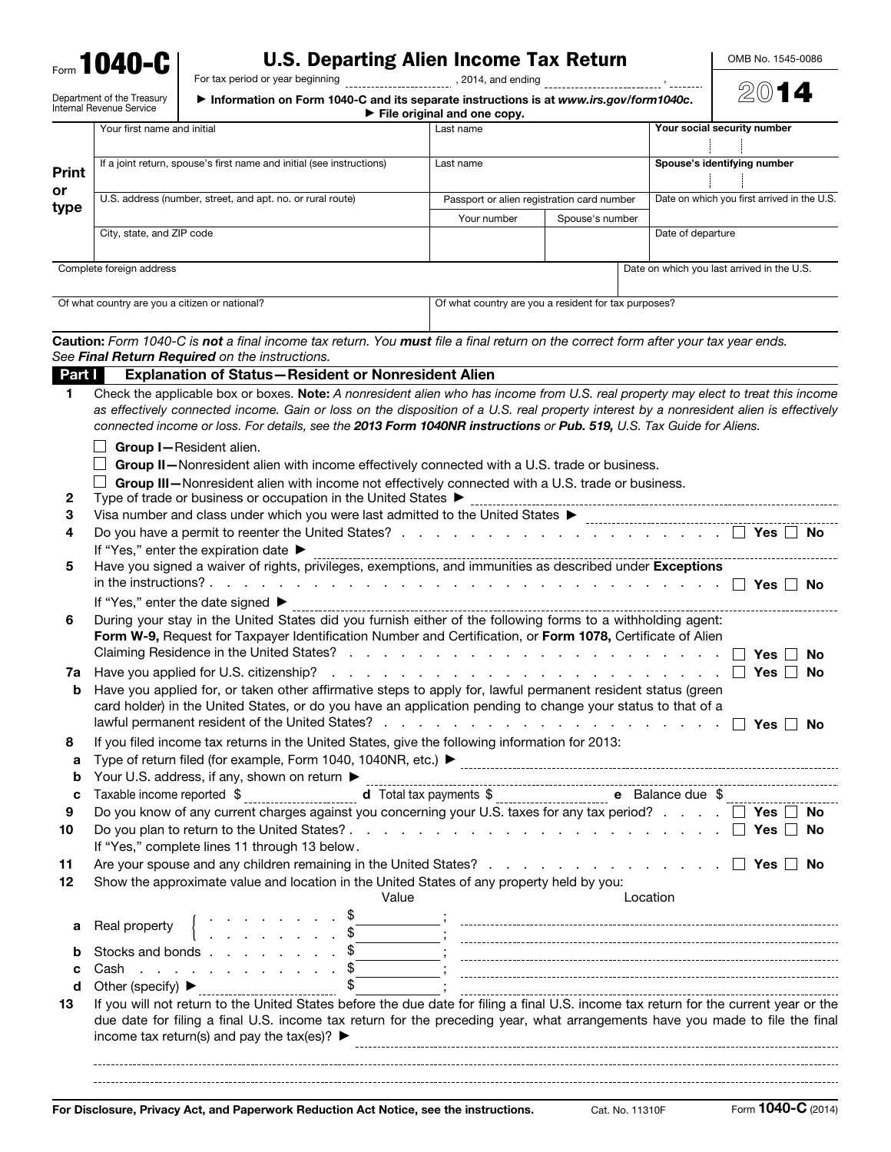Form **1040-C** 

## U.S. Departing Alien Income Tax Return

For tax period or year beginning and the set of the set of the set of the set of the set of the set of the set o

Department of the Treasury

▶ Information on Form 1040-C and its separate instructions is at *www.irs.gov/form1040c*.

OMB No. 1545-0086

2014

|              | Your first name and initial |                                                                                                                                                                                                                                                                                                                                          | Last name   |                                                      | Your social security number                 |
|--------------|-----------------------------|------------------------------------------------------------------------------------------------------------------------------------------------------------------------------------------------------------------------------------------------------------------------------------------------------------------------------------------|-------------|------------------------------------------------------|---------------------------------------------|
|              |                             |                                                                                                                                                                                                                                                                                                                                          |             |                                                      |                                             |
| <b>Print</b> |                             | If a joint return, spouse's first name and initial (see instructions)                                                                                                                                                                                                                                                                    | Last name   |                                                      | Spouse's identifying number                 |
| or<br>type   |                             | U.S. address (number, street, and apt. no. or rural route)                                                                                                                                                                                                                                                                               |             | Passport or alien registration card number           | Date on which you first arrived in the U.S. |
|              |                             |                                                                                                                                                                                                                                                                                                                                          | Your number | Spouse's number                                      |                                             |
|              | City, state, and ZIP code   |                                                                                                                                                                                                                                                                                                                                          |             |                                                      | Date of departure                           |
|              | Complete foreign address    |                                                                                                                                                                                                                                                                                                                                          |             |                                                      | Date on which you last arrived in the U.S.  |
|              |                             | Of what country are you a citizen or national?                                                                                                                                                                                                                                                                                           |             | Of what country are you a resident for tax purposes? |                                             |
|              |                             | Caution: Form 1040-C is not a final income tax return. You must file a final return on the correct form after your tax year ends.<br>See Final Return Required on the instructions.                                                                                                                                                      |             |                                                      |                                             |
| Part I       |                             | <b>Explanation of Status-Resident or Nonresident Alien</b>                                                                                                                                                                                                                                                                               |             |                                                      |                                             |
| 1            |                             | Check the applicable box or boxes. Note: A nonresident alien who has income from U.S. real property may elect to treat this income                                                                                                                                                                                                       |             |                                                      |                                             |
|              |                             | as effectively connected income. Gain or loss on the disposition of a U.S. real property interest by a nonresident alien is effectively                                                                                                                                                                                                  |             |                                                      |                                             |
|              |                             | connected income or loss. For details, see the 2013 Form 1040NR instructions or Pub. 519, U.S. Tax Guide for Aliens.                                                                                                                                                                                                                     |             |                                                      |                                             |
|              |                             | Group I-Resident alien.                                                                                                                                                                                                                                                                                                                  |             |                                                      |                                             |
|              |                             | Group II-Nonresident alien with income effectively connected with a U.S. trade or business.                                                                                                                                                                                                                                              |             |                                                      |                                             |
|              |                             | Group III-Nonresident alien with income not effectively connected with a U.S. trade or business.                                                                                                                                                                                                                                         |             |                                                      |                                             |
| 2            |                             | Type of trade or business or occupation in the United States ▶                                                                                                                                                                                                                                                                           |             |                                                      |                                             |
| 3            |                             |                                                                                                                                                                                                                                                                                                                                          |             |                                                      |                                             |
| 4            |                             |                                                                                                                                                                                                                                                                                                                                          |             |                                                      |                                             |
| 5            |                             | If "Yes," enter the expiration date ▶<br>Have you signed a waiver of rights, privileges, exemptions, and immunities as described under Exceptions                                                                                                                                                                                        |             |                                                      |                                             |
|              |                             |                                                                                                                                                                                                                                                                                                                                          |             |                                                      |                                             |
|              |                             | If "Yes," enter the date signed ▶                                                                                                                                                                                                                                                                                                        |             |                                                      |                                             |
| 6            |                             | During your stay in the United States did you furnish either of the following forms to a withholding agent:                                                                                                                                                                                                                              |             |                                                      |                                             |
|              |                             | Form W-9, Request for Taxpayer Identification Number and Certification, or Form 1078, Certificate of Alien                                                                                                                                                                                                                               |             |                                                      | Yes<br>No                                   |
| 7a           |                             |                                                                                                                                                                                                                                                                                                                                          |             |                                                      | Yes $\Box$<br>No                            |
| b            |                             | Have you applied for, or taken other affirmative steps to apply for, lawful permanent resident status (green<br>card holder) in the United States, or do you have an application pending to change your status to that of a                                                                                                              |             |                                                      | $Yes \mid No$                               |
| 8            |                             | If you filed income tax returns in the United States, give the following information for 2013:                                                                                                                                                                                                                                           |             |                                                      |                                             |
|              |                             |                                                                                                                                                                                                                                                                                                                                          |             |                                                      |                                             |
| b            |                             | Your U.S. address, if any, shown on return ▶                                                                                                                                                                                                                                                                                             |             |                                                      |                                             |
| C            | Taxable income reported \$  |                                                                                                                                                                                                                                                                                                                                          |             |                                                      |                                             |
| 9            |                             | Do you know of any current charges against you concerning your U.S. taxes for any tax period? $\Box$ Yes $\Box$ No                                                                                                                                                                                                                       |             |                                                      |                                             |
| 10           |                             |                                                                                                                                                                                                                                                                                                                                          |             |                                                      |                                             |
|              |                             | If "Yes," complete lines 11 through 13 below.                                                                                                                                                                                                                                                                                            |             |                                                      |                                             |
| 11           |                             | Are your spouse and any children remaining in the United States? $\Box$ Yes $\Box$ No                                                                                                                                                                                                                                                    |             |                                                      |                                             |
| 12           |                             | Show the approximate value and location in the United States of any property held by you:<br>Value                                                                                                                                                                                                                                       |             |                                                      | Location                                    |
|              |                             |                                                                                                                                                                                                                                                                                                                                          |             |                                                      |                                             |
| a            | Real property               |                                                                                                                                                                                                                                                                                                                                          |             |                                                      |                                             |
| b            |                             | Stocks and bonds $\ldots$ $\ldots$ $\ldots$ $\frac{1}{3}$                                                                                                                                                                                                                                                                                |             |                                                      |                                             |
| c            |                             |                                                                                                                                                                                                                                                                                                                                          |             |                                                      |                                             |
| d            |                             |                                                                                                                                                                                                                                                                                                                                          |             |                                                      |                                             |
| 13           |                             | If you will not return to the United States before the due date for filing a final U.S. income tax return for the current year or the<br>due date for filing a final U.S. income tax return for the preceding year, what arrangements have you made to file the final<br>income tax return(s) and pay the tax(es)? $\blacktriangleright$ |             |                                                      |                                             |

For Disclosure, Privacy Act, and Paperwork Reduction Act Notice, see the instructions. Cat. No. 11310F Form 1040-C (2014)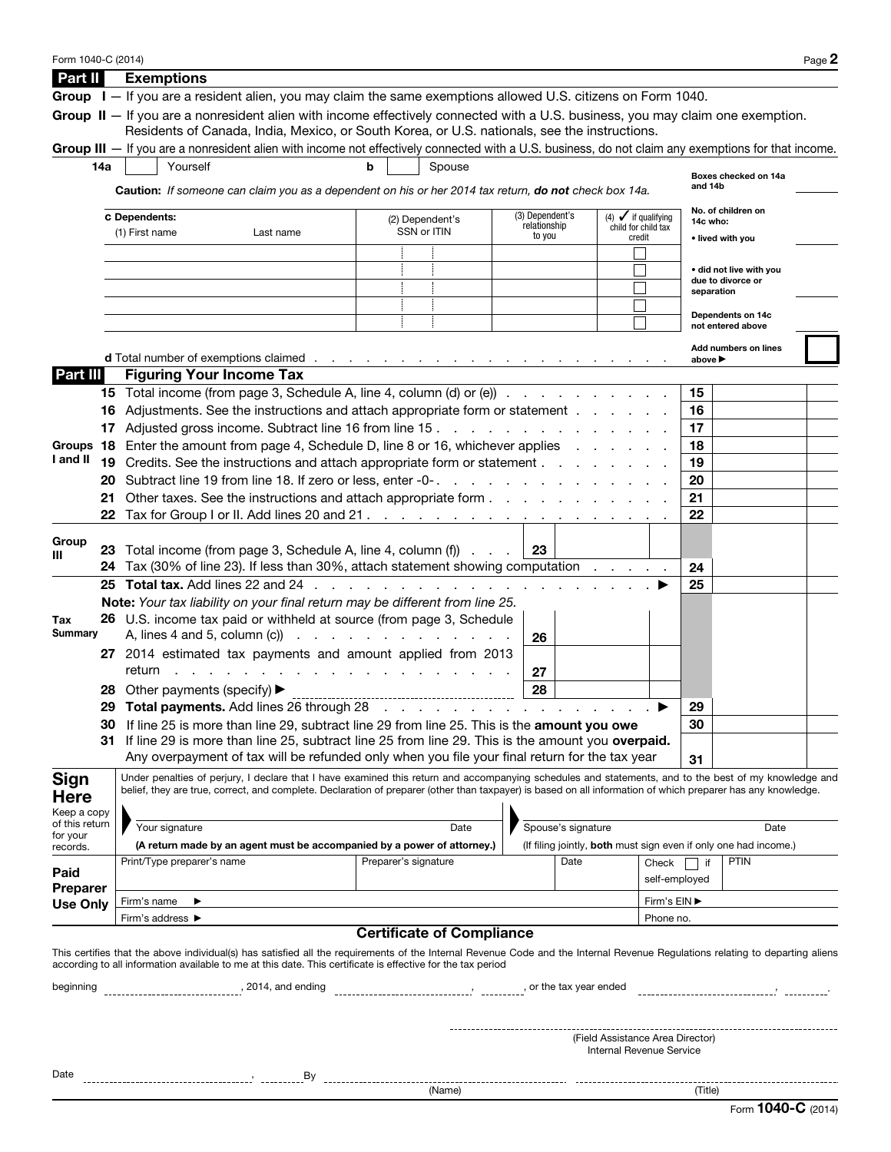| Form 1040-C (2014)          |                                                                                                                                     |                                                             |                                                                                                                                                                               |                                          |                                  |          |                                                                  |                          |                  |                                              | Page 2 |  |
|-----------------------------|-------------------------------------------------------------------------------------------------------------------------------------|-------------------------------------------------------------|-------------------------------------------------------------------------------------------------------------------------------------------------------------------------------|------------------------------------------|----------------------------------|----------|------------------------------------------------------------------|--------------------------|------------------|----------------------------------------------|--------|--|
| Part II                     |                                                                                                                                     | <b>Exemptions</b>                                           |                                                                                                                                                                               |                                          |                                  |          |                                                                  |                          |                  |                                              |        |  |
|                             |                                                                                                                                     |                                                             | Group I - If you are a resident alien, you may claim the same exemptions allowed U.S. citizens on Form 1040.                                                                  |                                          |                                  |          |                                                                  |                          |                  |                                              |        |  |
|                             |                                                                                                                                     |                                                             | Group II - If you are a nonresident alien with income effectively connected with a U.S. business, you may claim one exemption.                                                |                                          |                                  |          |                                                                  |                          |                  |                                              |        |  |
|                             |                                                                                                                                     |                                                             | Residents of Canada, India, Mexico, or South Korea, or U.S. nationals, see the instructions.                                                                                  |                                          |                                  |          |                                                                  |                          |                  |                                              |        |  |
|                             |                                                                                                                                     |                                                             | Group III — If you are a nonresident alien with income not effectively connected with a U.S. business, do not claim any exemptions for that income.                           |                                          |                                  |          |                                                                  |                          |                  |                                              |        |  |
|                             | 14a                                                                                                                                 | Yourself                                                    |                                                                                                                                                                               |                                          | Spouse                           |          |                                                                  |                          |                  |                                              |        |  |
|                             |                                                                                                                                     |                                                             | <b>Caution:</b> If someone can claim you as a dependent on his or her 2014 tax return, <b>do not</b> check box 14a.                                                           |                                          |                                  |          |                                                                  |                          | and 14b          | Boxes checked on 14a                         |        |  |
|                             |                                                                                                                                     |                                                             |                                                                                                                                                                               |                                          |                                  |          |                                                                  |                          |                  |                                              |        |  |
|                             | (3) Dependent's<br><b>C</b> Dependents:<br>(4) $\checkmark$ if qualifying<br>(2) Dependent's<br>relationship<br>child for child tax |                                                             |                                                                                                                                                                               |                                          |                                  |          |                                                                  |                          |                  | No. of children on<br>14c who:               |        |  |
|                             |                                                                                                                                     | (1) First name                                              | Last name                                                                                                                                                                     |                                          | SSN or ITIN                      | to you   |                                                                  | credit                   |                  | • lived with you                             |        |  |
|                             |                                                                                                                                     |                                                             |                                                                                                                                                                               |                                          |                                  |          |                                                                  |                          |                  |                                              |        |  |
|                             |                                                                                                                                     |                                                             |                                                                                                                                                                               |                                          |                                  |          |                                                                  |                          |                  | • did not live with you<br>due to divorce or |        |  |
|                             |                                                                                                                                     |                                                             |                                                                                                                                                                               |                                          |                                  |          |                                                                  |                          | separation       |                                              |        |  |
|                             |                                                                                                                                     |                                                             |                                                                                                                                                                               |                                          |                                  |          |                                                                  |                          |                  | Dependents on 14c                            |        |  |
|                             |                                                                                                                                     |                                                             |                                                                                                                                                                               |                                          |                                  |          |                                                                  |                          |                  | not entered above                            |        |  |
|                             |                                                                                                                                     |                                                             |                                                                                                                                                                               |                                          |                                  |          |                                                                  |                          |                  | Add numbers on lines                         |        |  |
|                             |                                                                                                                                     |                                                             | d Total number of exemptions claimed                                                                                                                                          |                                          |                                  |          |                                                                  |                          | above ▶          |                                              |        |  |
| Part III                    |                                                                                                                                     | <b>Figuring Your Income Tax</b>                             |                                                                                                                                                                               |                                          |                                  |          |                                                                  |                          |                  |                                              |        |  |
|                             |                                                                                                                                     |                                                             | 15 Total income (from page 3, Schedule A, line 4, column (d) or (e))                                                                                                          |                                          |                                  |          |                                                                  |                          | 15               |                                              |        |  |
|                             |                                                                                                                                     |                                                             | 16 Adjustments. See the instructions and attach appropriate form or statement                                                                                                 |                                          |                                  |          |                                                                  |                          | 16               |                                              |        |  |
|                             |                                                                                                                                     |                                                             | 17 Adjusted gross income. Subtract line 16 from line 15                                                                                                                       |                                          |                                  |          |                                                                  |                          | 17               |                                              |        |  |
|                             |                                                                                                                                     |                                                             | Groups 18 Enter the amount from page 4, Schedule D, line 8 or 16, whichever applies                                                                                           |                                          |                                  |          |                                                                  |                          | 18               |                                              |        |  |
| I and II                    |                                                                                                                                     |                                                             | 19 Credits. See the instructions and attach appropriate form or statement                                                                                                     |                                          |                                  |          |                                                                  |                          | 19               |                                              |        |  |
|                             |                                                                                                                                     |                                                             | 20 Subtract line 19 from line 18. If zero or less, enter -0-                                                                                                                  |                                          |                                  |          |                                                                  |                          | 20               |                                              |        |  |
|                             |                                                                                                                                     |                                                             | 21 Other taxes. See the instructions and attach appropriate form                                                                                                              |                                          |                                  |          |                                                                  |                          | 21               |                                              |        |  |
|                             |                                                                                                                                     |                                                             |                                                                                                                                                                               |                                          |                                  |          |                                                                  |                          | 22               |                                              |        |  |
| Group                       |                                                                                                                                     |                                                             |                                                                                                                                                                               |                                          |                                  |          |                                                                  |                          |                  |                                              |        |  |
| Ш                           |                                                                                                                                     |                                                             | 23 Total income (from page 3, Schedule A, line 4, column (f)                                                                                                                  |                                          |                                  | 23       |                                                                  |                          |                  |                                              |        |  |
|                             |                                                                                                                                     |                                                             | 24 Tax (30% of line 23). If less than 30%, attach statement showing computation                                                                                               |                                          |                                  |          |                                                                  |                          | 24               |                                              |        |  |
|                             |                                                                                                                                     |                                                             | 25 Total tax. Add lines 22 and 24                                                                                                                                             |                                          |                                  |          |                                                                  |                          | 25               |                                              |        |  |
|                             |                                                                                                                                     |                                                             | Note: Your tax liability on your final return may be different from line 25.<br>26 U.S. income tax paid or withheld at source (from page 3, Schedule                          |                                          |                                  |          |                                                                  |                          |                  |                                              |        |  |
| Tax<br>Summary              |                                                                                                                                     |                                                             | A, lines 4 and 5, column (c) $\cdots$ $\cdots$ $\cdots$ $\cdots$ $\cdots$ $\cdots$                                                                                            |                                          |                                  | 26       |                                                                  |                          |                  |                                              |        |  |
|                             |                                                                                                                                     | 27 2014 estimated tax payments and amount applied from 2013 |                                                                                                                                                                               |                                          |                                  |          |                                                                  |                          |                  |                                              |        |  |
|                             |                                                                                                                                     | return                                                      |                                                                                                                                                                               |                                          |                                  |          |                                                                  |                          |                  |                                              |        |  |
|                             |                                                                                                                                     | 28 Other payments (specify) ▶                               |                                                                                                                                                                               | the contract of the contract of the con- |                                  | 27<br>28 |                                                                  |                          |                  |                                              |        |  |
|                             |                                                                                                                                     |                                                             | 29 Total payments. Add lines 26 through 28                                                                                                                                    |                                          |                                  |          |                                                                  |                          | 29               |                                              |        |  |
|                             | 30                                                                                                                                  |                                                             | If line 25 is more than line 29, subtract line 29 from line 25. This is the amount you owe                                                                                    |                                          |                                  |          | المتعاط والمتحاول والمتحاول والمتحاول والمتحاول                  |                          | 30               |                                              |        |  |
|                             | 31                                                                                                                                  |                                                             | If line 29 is more than line 25, subtract line 25 from line 29. This is the amount you overpaid.                                                                              |                                          |                                  |          |                                                                  |                          |                  |                                              |        |  |
|                             |                                                                                                                                     |                                                             | Any overpayment of tax will be refunded only when you file your final return for the tax year                                                                                 |                                          |                                  |          |                                                                  |                          | 31               |                                              |        |  |
|                             |                                                                                                                                     |                                                             | Under penalties of perjury, I declare that I have examined this return and accompanying schedules and statements, and to the best of my knowledge and                         |                                          |                                  |          |                                                                  |                          |                  |                                              |        |  |
| Sign<br><b>Here</b>         |                                                                                                                                     |                                                             | belief, they are true, correct, and complete. Declaration of preparer (other than taxpayer) is based on all information of which preparer has any knowledge.                  |                                          |                                  |          |                                                                  |                          |                  |                                              |        |  |
| Keep a copy                 |                                                                                                                                     |                                                             |                                                                                                                                                                               |                                          |                                  |          |                                                                  |                          |                  |                                              |        |  |
| of this return              |                                                                                                                                     | Your signature                                              |                                                                                                                                                                               |                                          | Date                             |          | Spouse's signature                                               |                          | Date             |                                              |        |  |
| for your<br>records.        |                                                                                                                                     |                                                             | (A return made by an agent must be accompanied by a power of attorney.)                                                                                                       |                                          |                                  |          | (If filing jointly, both must sign even if only one had income.) |                          |                  |                                              |        |  |
|                             |                                                                                                                                     | Print/Type preparer's name                                  |                                                                                                                                                                               | Preparer's signature                     |                                  |          | Date                                                             | Check                    | $\vert \vert$ if | <b>PTIN</b>                                  |        |  |
| Paid                        |                                                                                                                                     |                                                             |                                                                                                                                                                               |                                          |                                  |          |                                                                  | self-employed            |                  |                                              |        |  |
| Preparer<br><b>Use Only</b> |                                                                                                                                     | Firm's name<br>▶                                            |                                                                                                                                                                               |                                          |                                  |          | Firm's EIN ▶                                                     |                          |                  |                                              |        |  |
|                             |                                                                                                                                     | Firm's address ▶<br>Phone no.                               |                                                                                                                                                                               |                                          |                                  |          |                                                                  |                          |                  |                                              |        |  |
|                             |                                                                                                                                     |                                                             |                                                                                                                                                                               |                                          | <b>Certificate of Compliance</b> |          |                                                                  |                          |                  |                                              |        |  |
|                             |                                                                                                                                     |                                                             | This certifies that the above individual(s) has satisfied all the requirements of the Internal Revenue Code and the Internal Revenue Regulations relating to departing aliens |                                          |                                  |          |                                                                  |                          |                  |                                              |        |  |
|                             |                                                                                                                                     |                                                             | according to all information available to me at this date. This certificate is effective for the tax period                                                                   |                                          |                                  |          |                                                                  |                          |                  |                                              |        |  |
| beginning                   |                                                                                                                                     |                                                             |                                                                                                                                                                               |                                          |                                  |          |                                                                  |                          |                  |                                              |        |  |
|                             |                                                                                                                                     |                                                             |                                                                                                                                                                               |                                          |                                  |          |                                                                  |                          |                  |                                              |        |  |
|                             |                                                                                                                                     |                                                             |                                                                                                                                                                               |                                          |                                  |          |                                                                  |                          |                  |                                              |        |  |
|                             |                                                                                                                                     |                                                             |                                                                                                                                                                               |                                          |                                  |          | (Field Assistance Area Director)                                 |                          |                  |                                              |        |  |
|                             |                                                                                                                                     |                                                             |                                                                                                                                                                               |                                          |                                  |          |                                                                  | Internal Revenue Service |                  |                                              |        |  |
| Date                        |                                                                                                                                     |                                                             |                                                                                                                                                                               |                                          |                                  |          |                                                                  |                          |                  |                                              |        |  |
|                             |                                                                                                                                     |                                                             |                                                                                                                                                                               |                                          |                                  |          |                                                                  |                          |                  |                                              |        |  |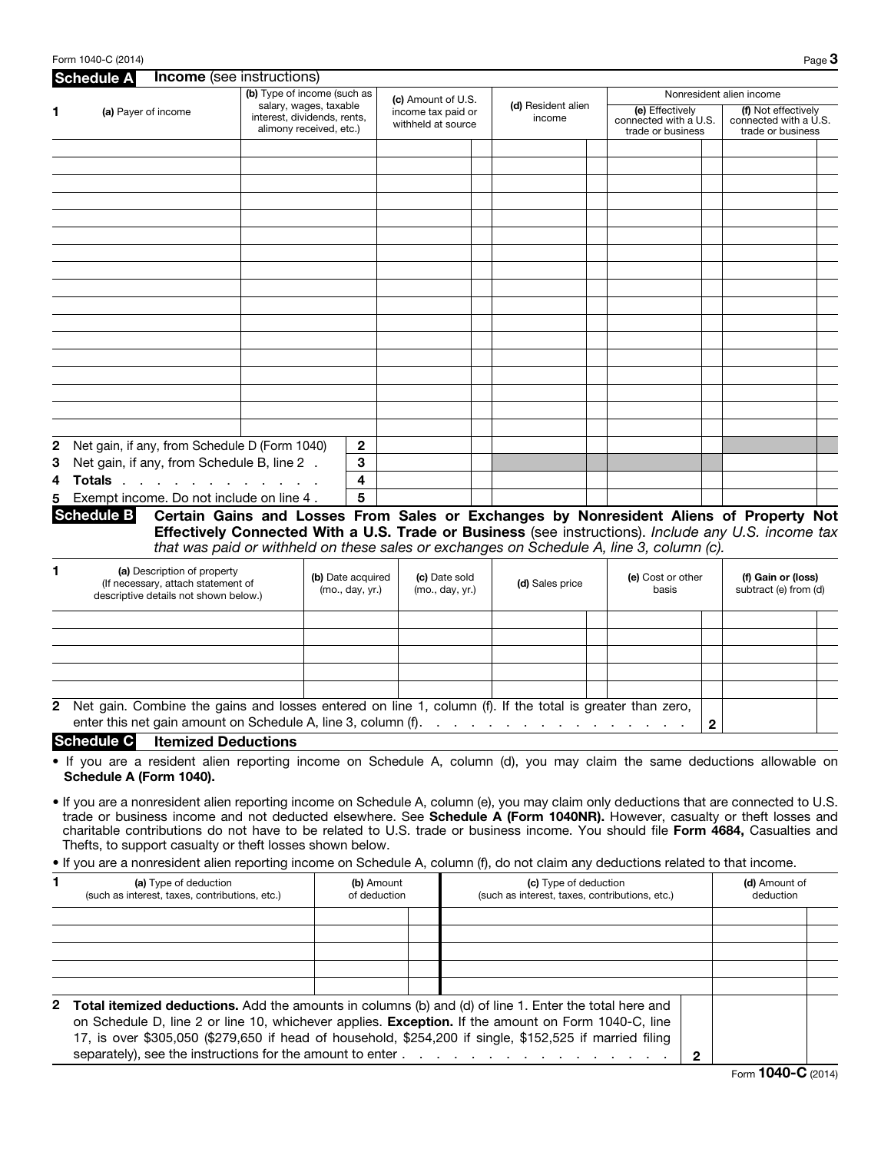| <b>Schedule A</b>        | <b>Income</b> (see instructions)                                                                                         |                                                                                      |                                                                |                                  |  |                              |  |                                                                                                     |                                             |                                             |                                              |
|--------------------------|--------------------------------------------------------------------------------------------------------------------------|--------------------------------------------------------------------------------------|----------------------------------------------------------------|----------------------------------|--|------------------------------|--|-----------------------------------------------------------------------------------------------------|---------------------------------------------|---------------------------------------------|----------------------------------------------|
| 1<br>(a) Payer of income |                                                                                                                          | (b) Type of income (such as<br>salary, wages, taxable<br>interest, dividends, rents, | (c) Amount of U.S.<br>income tax paid or<br>withheld at source |                                  |  | (d) Resident alien<br>income |  | connected with a U.S.                                                                               | Nonresident alien income<br>(e) Effectively |                                             | (f) Not effectively<br>connected with a U.S. |
|                          |                                                                                                                          | alimony received, etc.)                                                              |                                                                |                                  |  |                              |  | trade or business                                                                                   |                                             | trade or business                           |                                              |
|                          |                                                                                                                          |                                                                                      |                                                                |                                  |  |                              |  |                                                                                                     |                                             |                                             |                                              |
|                          |                                                                                                                          |                                                                                      |                                                                |                                  |  |                              |  |                                                                                                     |                                             |                                             |                                              |
|                          |                                                                                                                          |                                                                                      |                                                                |                                  |  |                              |  |                                                                                                     |                                             |                                             |                                              |
|                          |                                                                                                                          |                                                                                      |                                                                |                                  |  |                              |  |                                                                                                     |                                             |                                             |                                              |
|                          |                                                                                                                          |                                                                                      |                                                                |                                  |  |                              |  |                                                                                                     |                                             |                                             |                                              |
|                          |                                                                                                                          |                                                                                      |                                                                |                                  |  |                              |  |                                                                                                     |                                             |                                             |                                              |
|                          |                                                                                                                          |                                                                                      |                                                                |                                  |  |                              |  |                                                                                                     |                                             |                                             |                                              |
|                          |                                                                                                                          |                                                                                      |                                                                |                                  |  |                              |  |                                                                                                     |                                             |                                             |                                              |
|                          |                                                                                                                          |                                                                                      |                                                                |                                  |  |                              |  |                                                                                                     |                                             |                                             |                                              |
|                          |                                                                                                                          |                                                                                      |                                                                |                                  |  |                              |  |                                                                                                     |                                             |                                             |                                              |
|                          |                                                                                                                          |                                                                                      |                                                                |                                  |  |                              |  |                                                                                                     |                                             |                                             |                                              |
|                          |                                                                                                                          |                                                                                      |                                                                |                                  |  |                              |  |                                                                                                     |                                             |                                             |                                              |
|                          |                                                                                                                          |                                                                                      |                                                                |                                  |  |                              |  |                                                                                                     |                                             |                                             |                                              |
|                          |                                                                                                                          |                                                                                      |                                                                |                                  |  |                              |  |                                                                                                     |                                             |                                             |                                              |
|                          |                                                                                                                          |                                                                                      |                                                                |                                  |  |                              |  |                                                                                                     |                                             |                                             |                                              |
|                          |                                                                                                                          |                                                                                      |                                                                |                                  |  |                              |  |                                                                                                     |                                             |                                             |                                              |
|                          | 2 Net gain, if any, from Schedule D (Form 1040)                                                                          | 2                                                                                    |                                                                |                                  |  |                              |  |                                                                                                     |                                             |                                             |                                              |
|                          | 3 Net gain, if any, from Schedule B, line 2.                                                                             | 3                                                                                    |                                                                |                                  |  |                              |  |                                                                                                     |                                             |                                             |                                              |
|                          | Totals                                                                                                                   | 4                                                                                    |                                                                |                                  |  |                              |  |                                                                                                     |                                             |                                             |                                              |
|                          | 5 Exempt income. Do not include on line 4.                                                                               | 5                                                                                    |                                                                |                                  |  |                              |  |                                                                                                     |                                             |                                             |                                              |
| <b>Schedule B</b>        |                                                                                                                          |                                                                                      |                                                                |                                  |  |                              |  | Certain Gains and Losses From Sales or Exchanges by Nonresident Aliens of Property Not              |                                             |                                             |                                              |
|                          |                                                                                                                          |                                                                                      |                                                                |                                  |  |                              |  | Effectively Connected With a U.S. Trade or Business (see instructions). Include any U.S. income tax |                                             |                                             |                                              |
|                          |                                                                                                                          |                                                                                      |                                                                |                                  |  |                              |  | that was paid or withheld on these sales or exchanges on Schedule A, line 3, column (c).            |                                             |                                             |                                              |
|                          | (a) Description of property                                                                                              |                                                                                      |                                                                |                                  |  |                              |  |                                                                                                     |                                             |                                             |                                              |
|                          | (If necessary, attach statement of<br>descriptive details not shown below.)                                              | (b) Date acquired<br>(mo., day, yr.)                                                 |                                                                | (c) Date sold<br>(mo., day, yr.) |  | (d) Sales price              |  | (e) Cost or other<br>basis                                                                          |                                             | (f) Gain or (loss)<br>subtract (e) from (d) |                                              |
|                          |                                                                                                                          |                                                                                      |                                                                |                                  |  |                              |  |                                                                                                     |                                             |                                             |                                              |
|                          |                                                                                                                          |                                                                                      |                                                                |                                  |  |                              |  |                                                                                                     |                                             |                                             |                                              |
|                          |                                                                                                                          |                                                                                      |                                                                |                                  |  |                              |  |                                                                                                     |                                             |                                             |                                              |
|                          |                                                                                                                          |                                                                                      |                                                                |                                  |  |                              |  |                                                                                                     |                                             |                                             |                                              |
|                          |                                                                                                                          |                                                                                      |                                                                |                                  |  |                              |  |                                                                                                     |                                             |                                             |                                              |
|                          | 2 Net gain. Combine the gains and losses entered on line 1, column (f). If the total is greater than zero,               |                                                                                      |                                                                |                                  |  |                              |  |                                                                                                     |                                             |                                             |                                              |
|                          | enter this net gain amount on Schedule A, line 3, column (f).                                                            |                                                                                      |                                                                |                                  |  |                              |  |                                                                                                     | $\mathbf{2}$                                |                                             |                                              |
| <b>Schedule C</b>        | <b>Itemized Deductions</b>                                                                                               |                                                                                      |                                                                |                                  |  |                              |  |                                                                                                     |                                             |                                             |                                              |
|                          | . If you are a resident alien reporting income on Schedule A, column (d), you may claim the same deductions allowable on |                                                                                      |                                                                |                                  |  |                              |  |                                                                                                     |                                             |                                             |                                              |
|                          | Schedule A (Form 1040).                                                                                                  |                                                                                      |                                                                |                                  |  |                              |  |                                                                                                     |                                             |                                             |                                              |
|                          |                                                                                                                          |                                                                                      |                                                                |                                  |  |                              |  |                                                                                                     |                                             |                                             |                                              |

- trade or business income and not deducted elsewhere. See Schedule A (Form 1040NR). However, casualty or theft losses and charitable contributions do not have to be related to U.S. trade or business income. You should file Form 4684, Casualties and Thefts, to support casualty or theft losses shown below.
- If you are a nonresident alien reporting income on Schedule A, column (f), do not claim any deductions related to that income.

| (a) Type of deduction<br>(such as interest, taxes, contributions, etc.)                                                                                                                                                                                                                                                                | (b) Amount<br>of deduction | (c) Type of deduction<br>(such as interest, taxes, contributions, etc.) | (d) Amount of<br>deduction |  |  |
|----------------------------------------------------------------------------------------------------------------------------------------------------------------------------------------------------------------------------------------------------------------------------------------------------------------------------------------|----------------------------|-------------------------------------------------------------------------|----------------------------|--|--|
|                                                                                                                                                                                                                                                                                                                                        |                            |                                                                         |                            |  |  |
|                                                                                                                                                                                                                                                                                                                                        |                            |                                                                         |                            |  |  |
|                                                                                                                                                                                                                                                                                                                                        |                            |                                                                         |                            |  |  |
| <b>2 Total itemized deductions.</b> Add the amounts in columns (b) and (d) of line 1. Enter the total here and<br>on Schedule D, line 2 or line 10, whichever applies. <b>Exception.</b> If the amount on Form 1040-C, line<br>17, is over \$305,050 (\$279,650 if head of household, \$254,200 if single, \$152,525 if married filing |                            |                                                                         |                            |  |  |